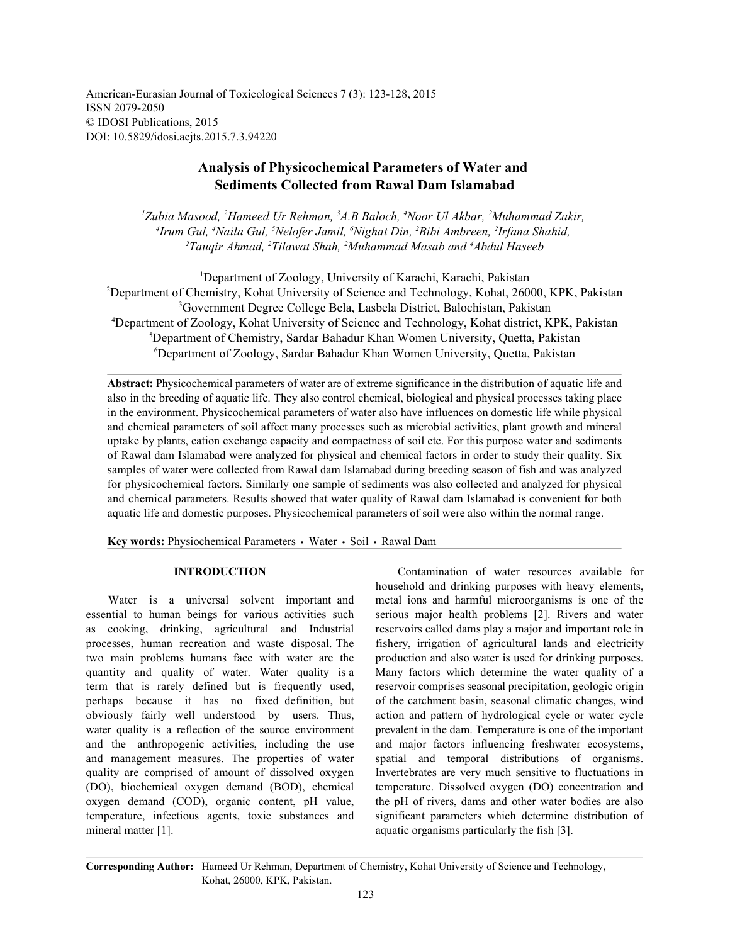American-Eurasian Journal of Toxicological Sciences 7 (3): 123-128, 2015 ISSN 2079-2050 © IDOSI Publications, 2015 DOI: 10.5829/idosi.aejts.2015.7.3.94220

# **Analysis of Physicochemical Parameters of Water and Sediments Collected from Rawal Dam Islamabad**

<sup>1</sup>Zubia Masood, <sup>2</sup>Hameed Ur Rehman, <sup>3</sup>A.B Baloch, <sup>4</sup>Noor Ul Akbar, <sup>2</sup>Muhammad Zakir, <sup>4</sup> Irum Gul, <sup>4</sup> Naila Gul, <sup>5</sup> Nelofer Jamil, <sup>6</sup> Nighat Din, <sup>2</sup> Bibi Ambreen, <sup>2</sup> Irfana Shahid, <sup>2</sup>Tauqir Ahmad, <sup>2</sup>Tilawat Shah, <sup>2</sup>Muhammad Masab and <sup>4</sup>Abdul Haseeb

Department of Zoology, University of Karachi, Karachi, Pakistan <sup>1</sup> <sup>2</sup>Department of Chemistry, Kohat University of Science and Technology, Kohat, 26000, KPK, Pakistan Government Degree College Bela, Lasbela District, Balochistan, Pakistan <sup>3</sup> Department of Zoology, Kohat University of Science and Technology, Kohat district, KPK, Pakistan <sup>4</sup> <sup>5</sup>Department of Chemistry, Sardar Bahadur Khan Women University, Quetta, Pakistan Department of Zoology, Sardar Bahadur Khan Women University, Quetta, Pakistan <sup>6</sup>

**Abstract:** Physicochemical parameters of water are of extreme significance in the distribution of aquatic life and also in the breeding of aquatic life. They also control chemical, biological and physical processes taking place in the environment. Physicochemical parameters of water also have influences on domestic life while physical and chemical parameters of soil affect many processes such as microbial activities, plant growth and mineral uptake by plants, cation exchange capacity and compactness of soil etc. For this purpose water and sediments of Rawal dam Islamabad were analyzed for physical and chemical factors in order to study their quality. Six samples of water were collected from Rawal dam Islamabad during breeding season of fish and was analyzed for physicochemical factors. Similarly one sample of sediments was also collected and analyzed for physical and chemical parameters. Results showed that water quality of Rawal dam Islamabad is convenient for both aquatic life and domestic purposes. Physicochemical parameters of soil were also within the normal range.

Key words: Physiochemical Parameters · Water · Soil · Rawal Dam

essential to human beings for various activities such serious major health problems [2]. Rivers and water as cooking, drinking, agricultural and Industrial reservoirs called dams play a major and important role in processes, human recreation and waste disposal. The fishery, irrigation of agricultural lands and electricity two main problems humans face with water are the production and also water is used for drinking purposes. quantity and quality of water. Water quality is a Many factors which determine the water quality of a term that is rarely defined but is frequently used, reservoir comprises seasonal precipitation, geologic origin perhaps because it has no fixed definition, but of the catchment basin, seasonal climatic changes, wind obviously fairly well understood by users. Thus, action and pattern of hydrological cycle or water cycle water quality is a reflection of the source environment prevalent in the dam. Temperature is one of the important and the anthropogenic activities, including the use and major factors influencing freshwater ecosystems, and management measures. The properties of water spatial and temporal distributions of organisms. quality are comprised of amount of dissolved oxygen Invertebrates are very much sensitive to fluctuations in (DO), biochemical oxygen demand (BOD), chemical temperature. Dissolved oxygen (DO) concentration and oxygen demand (COD), organic content, pH value, the pH of rivers, dams and other water bodies are also temperature, infectious agents, toxic substances and significant parameters which determine distribution of mineral matter [1]. aquatic organisms particularly the fish [3].

**INTRODUCTION** Contamination of water resources available for Water is a universal solvent important and metal ions and harmful microorganisms is one of the household and drinking purposes with heavy elements,

**Corresponding Author:** Hameed Ur Rehman, Department of Chemistry, Kohat University of Science and Technology, Kohat, 26000, KPK, Pakistan.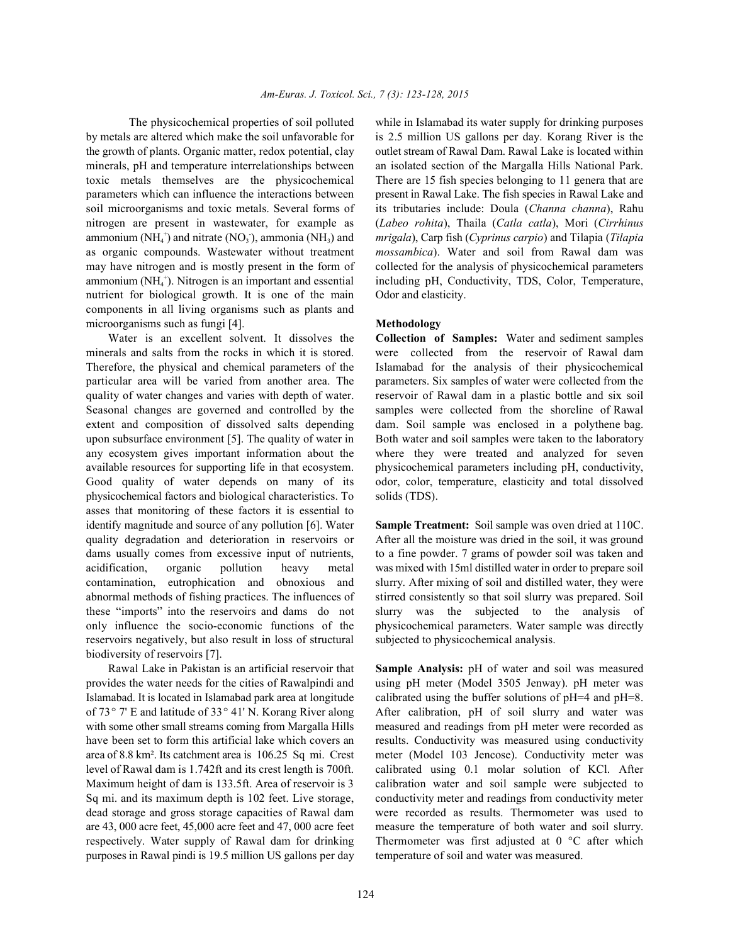by metals are altered which make the soil unfavorable for is 2.5 million US gallons per day. Korang River is the the growth of plants. Organic matter, redox potential, clay outlet stream of Rawal Dam. Rawal Lake is located within minerals, pH and temperature interrelationships between an isolated section of the Margalla Hills National Park. toxic metals themselves are the physicochemical There are 15 fish species belonging to 11 genera that are parameters which can influence the interactions between present in Rawal Lake. The fish species in Rawal Lake and soil microorganisms and toxic metals. Several forms of its tributaries include: Doula (*Channa channa*), Rahu nitrogen are present in wastewater, for example as (*Labeo rohita*), Thaila (*Catla catla*), Mori (*Cirrhinus* ammonium (NH<sub>4</sub><sup>+</sup>) and nitrate (NO<sub>3</sub><sup>-</sup>), ammonia (NH<sub>3</sub>) and *mrigala*), Carp fish (*Cyprinus carpio*) and Tilapia (*Tilapia* as organic compounds. Wastewater without treatment *mossambica*). Water and soil from Rawal dam was may have nitrogen and is mostly present in the form of collected for the analysis of physicochemical parameters ammonium (NH<sub>4</sub><sup>+</sup>). Nitrogen is an important and essential including pH, Conductivity, TDS, Color, Temperature, nutrient for biological growth. It is one of the main Odor and elasticity. components in all living organisms such as plants and microorganisms such as fungi [4]. **Methodology**

Water is an excellent solvent. It dissolves the **Collection of Samples:** Water and sediment samples minerals and salts from the rocks in which it is stored. were collected from the reservoir of Rawal dam Therefore, the physical and chemical parameters of the Islamabad for the analysis of their physicochemical particular area will be varied from another area. The parameters. Six samples of water were collected from the quality of water changes and varies with depth of water. reservoir of Rawal dam in a plastic bottle and six soil Seasonal changes are governed and controlled by the samples were collected from the shoreline of Rawal extent and composition of dissolved salts depending dam. Soil sample was enclosed in a polythene bag. upon subsurface environment [5]. The quality of water in Both water and soil samples were taken to the laboratory any ecosystem gives important information about the where they were treated and analyzed for seven available resources for supporting life in that ecosystem. physicochemical parameters including pH, conductivity, Good quality of water depends on many of its odor, color, temperature, elasticity and total dissolved physicochemical factors and biological characteristics. To solids (TDS). asses that monitoring of these factors it is essential to identify magnitude and source of any pollution [6]. Water **Sample Treatment:** Soil sample was oven dried at 110C. quality degradation and deterioration in reservoirs or After all the moisture was dried in the soil, it was ground dams usually comes from excessive input of nutrients, to a fine powder. 7 grams of powder soil was taken and acidification, organic pollution heavy metal was mixed with 15ml distilled water in order to prepare soil contamination, eutrophication and obnoxious and slurry. After mixing of soil and distilled water, they were abnormal methods of fishing practices. The influences of stirred consistently so that soil slurry was prepared. Soil these "imports" into the reservoirs and dams do not slurry was the subjected to the analysis of only influence the socio-economic functions of the physicochemical parameters. Water sample was directly reservoirs negatively, but also result in loss of structural subjected to physicochemical analysis. biodiversity of reservoirs [7].

provides the water needs for the cities of Rawalpindi and using pH meter (Model 3505 Jenway). pH meter was Islamabad. It is located in Islamabad park area at longitude calibrated using the buffer solutions of pH=4 and pH=8. with some other small streams coming from Margalla Hills measured and readings from pH meter were recorded as Maximum height of dam is 133.5ft. Area of reservoir is 3 calibration water and soil sample were subjected to are 43, 000 acre feet, 45,000 acre feet and 47, 000 acre feet measure the temperature of both water and soil slurry. purposes in Rawal pindi is 19.5 million US gallons per day temperature of soil and water was measured.

The physicochemical properties of soil polluted while in Islamabad its water supply for drinking purposes

Rawal Lake in Pakistan is an artificial reservoir that **Sample Analysis:** pH of water and soil was measured of 73° 7' E and latitude of 33° 41' N. Korang River along After calibration, pH of soil slurry and water was have been set to form this artificial lake which covers an results. Conductivity was measured using conductivity area of 8.8 km². Its catchment area is 106.25 Sq mi. Crest meter (Model 103 Jencose). Conductivity meter was level of Rawal dam is 1.742ft and its crest length is 700ft. calibrated using 0.1 molar solution of KCl. After Sq mi. and its maximum depth is 102 feet. Live storage, conductivity meter and readings from conductivity meter dead storage and gross storage capacities of Rawal dam were recorded as results. Thermometer was used to respectively. Water supply of Rawal dam for drinking Thermometer was first adjusted at 0 °C after which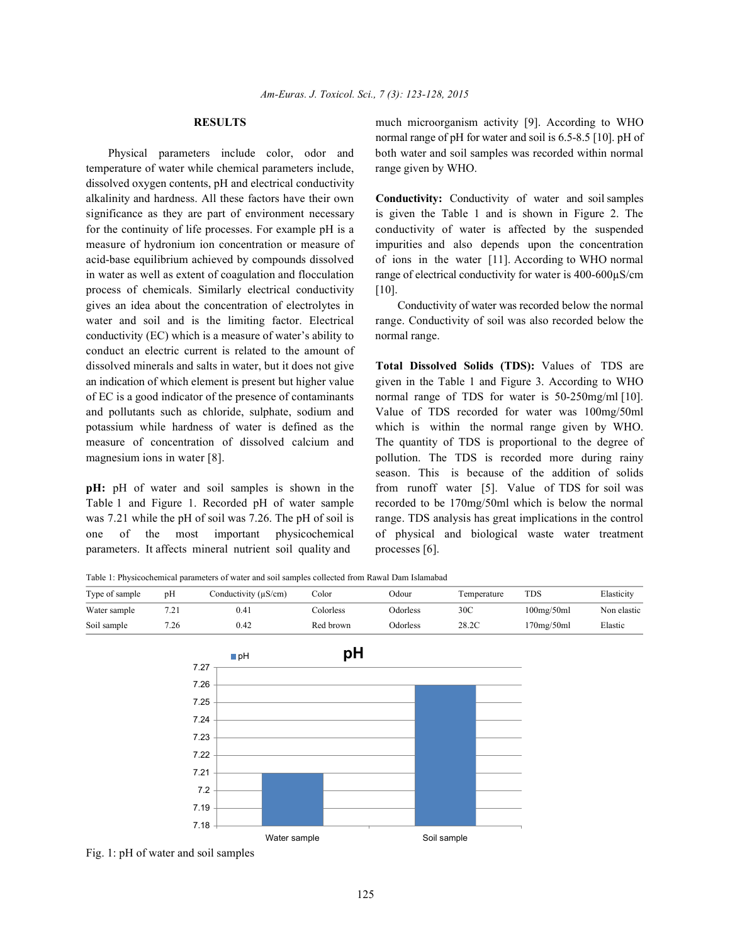temperature of water while chemical parameters include, range given by WHO. dissolved oxygen contents, pH and electrical conductivity alkalinity and hardness. All these factors have their own **Conductivity:** Conductivity of water and soil samples significance as they are part of environment necessary is given the Table 1 and is shown in Figure 2. The for the continuity of life processes. For example pH is a conductivity of water is affected by the suspended measure of hydronium ion concentration or measure of impurities and also depends upon the concentration acid-base equilibrium achieved by compounds dissolved of ions in the water [11]. According to WHO normal in water as well as extent of coagulation and flocculation range of electrical conductivity for water is 400-600µS/cm process of chemicals. Similarly electrical conductivity [10]. gives an idea about the concentration of electrolytes in Conductivity of water was recorded below the normal water and soil and is the limiting factor. Electrical range. Conductivity of soil was also recorded below the conductivity (EC) which is a measure of water's ability to normal range. conduct an electric current is related to the amount of dissolved minerals and salts in water, but it does not give **Total Dissolved Solids (TDS):** Values of TDS are an indication of which element is present but higher value given in the Table 1 and Figure 3. According to WHO of EC is a good indicator of the presence of contaminants normal range of TDS for water is 50-250mg/ml [10]. and pollutants such as chloride, sulphate, sodium and Value of TDS recorded for water was 100mg/50ml potassium while hardness of water is defined as the which is within the normal range given by WHO. measure of concentration of dissolved calcium and The quantity of TDS is proportional to the degree of magnesium ions in water [8]. **pollution**. The TDS is recorded more during rainy

Table 1 and Figure 1. Recorded pH of water sample recorded to be 170mg/50ml which is below the normal was 7.21 while the pH of soil was 7.26. The pH of soil is range. TDS analysis has great implications in the control one of the most important physicochemical of physical and biological waste water treatment parameters. It affects mineral nutrient soil quality and processes [6].

**RESULTS** much microorganism activity [9]. According to WHO Physical parameters include color, odor and both water and soil samples was recorded within normal normal range of pH for water and soil is 6.5-8.5 [10]. pH of

**pH:** pH of water and soil samples is shown in the from runoff water [5]. Value of TDS for soil was season. This is because of the addition of solids

Table 1: Physicochemical parameters of water and soil samples collected from Rawal Dam Islamabad

| Type of sample | pH   | Conductivity $(\mu S/cm)$ | Color     | Odour           | Femperature | TDS        | Elasticity  |
|----------------|------|---------------------------|-----------|-----------------|-------------|------------|-------------|
| Water sample   |      | 0.41                      | Colorless | <b>Odorless</b> | 30C         | 100mg/50ml | Non elastic |
| Soil sample    | 7.26 | 0.42                      | Red brown | <b>Odorless</b> | 28.2C       | 170mg/50ml | Elastic     |



Fig. 1: pH of water and soil samples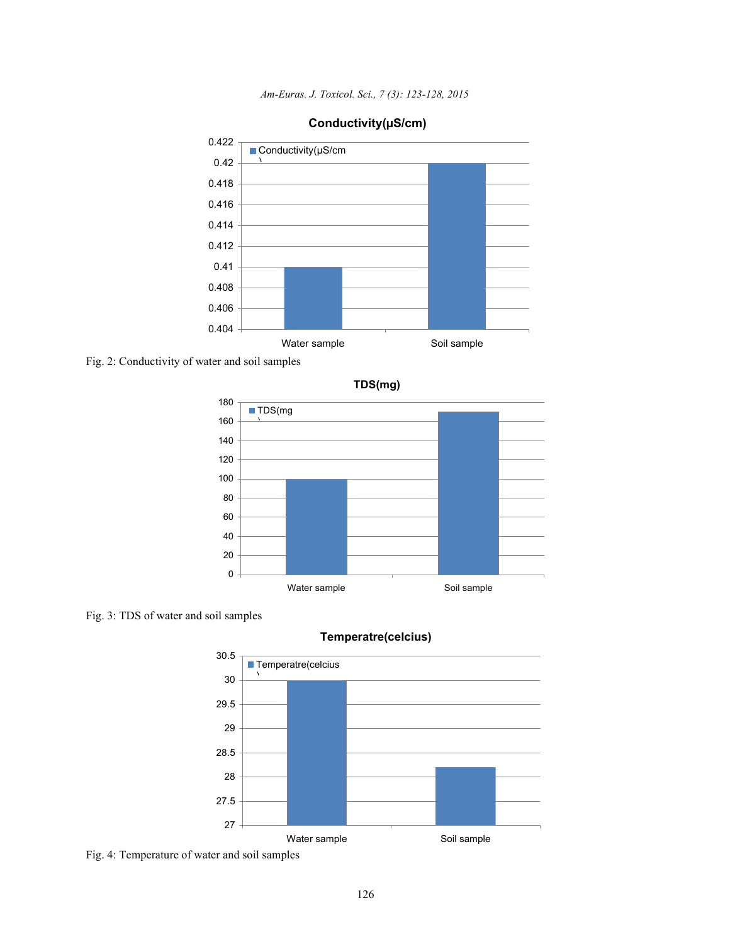*Am-Euras. J. Toxicol. Sci., 7 (3): 123-128, 2015*



## **Conductivity(µS/cm)**

Fig. 2: Conductivity of water and soil samples



Fig. 3: TDS of water and soil samples



## **Temperatre(celcius)**

Fig. 4: Temperature of water and soil samples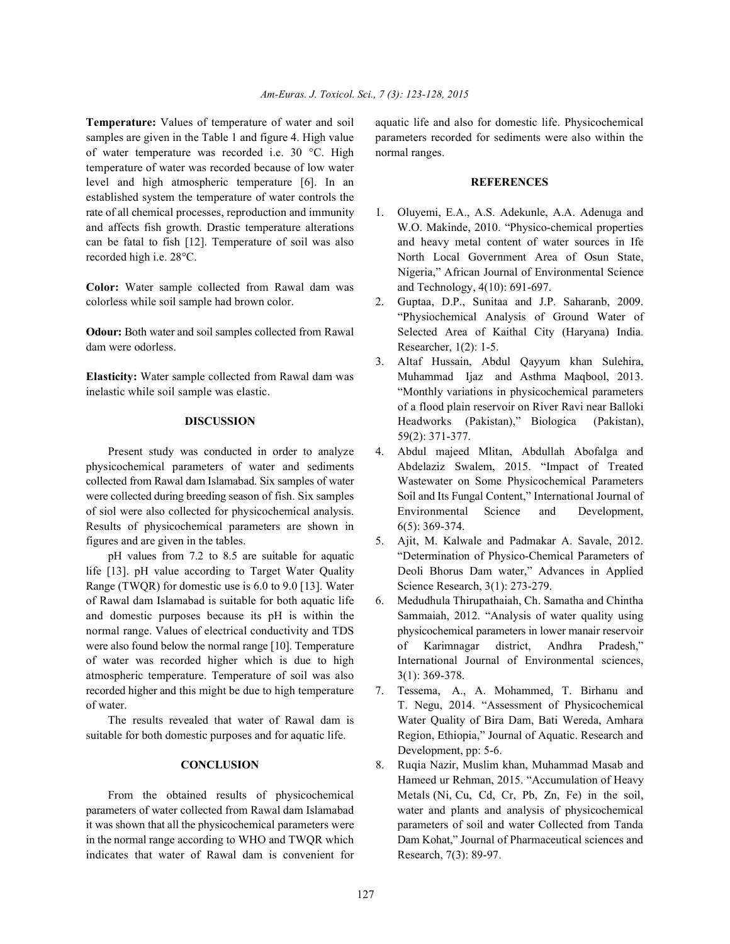samples are given in the Table 1 and figure 4. High value parameters recorded for sediments were also within the of water temperature was recorded i.e. 30 °C. High normal ranges. temperature of water was recorded because of low water level and high atmospheric temperature [6]. In an **REFERENCES** established system the temperature of water controls the rate of all chemical processes, reproduction and immunity 1. Oluyemi, E.A., A.S. Adekunle, A.A. Adenuga and and affects fish growth. Drastic temperature alterations W.O. Makinde, 2010. "Physico-chemical properties can be fatal to fish [12]. Temperature of soil was also and heavy metal content of water sources in Ife

**Color:** Water sample collected from Rawal dam was and Technology, 4(10): 691-697. colorless while soil sample had brown color. 2. Guptaa, D.P., Sunitaa and J.P. Saharanb, 2009.

dam were odorless. Researcher, 1(2): 1-5.

Results of physicochemical parameters are shown in 6(5): 369-374. figures and are given in the tables. 5. Ajit, M. Kalwale and Padmakar A. Savale, 2012.

life [13]. pH value according to Target Water Quality Deoli Bhorus Dam water," Advances in Applied Range (TWQR) for domestic use is 6.0 to 9.0 [13]. Water Science Research, 3(1): 273-279. of Rawal dam Islamabad is suitable for both aquatic life 6. Medudhula Thirupathaiah, Ch. Samatha and Chintha were also found below the normal range [10]. Temperature of Karimnagar district, Andhra Pradesh," of water was recorded higher which is due to high International Journal of Environmental sciences, atmospheric temperature. Temperature of soil was also 3(1): 369-378. recorded higher and this might be due to high temperature 7. Tessema, A., A. Mohammed, T. Birhanu and of water. T. Negu, 2014. "Assessment of Physicochemical

parameters of water collected from Rawal dam Islamabad water and plants and analysis of physicochemical it was shown that all the physicochemical parameters were parameters of soil and water Collected from Tanda in the normal range according to WHO and TWQR which Dam Kohat," Journal of Pharmaceutical sciences and indicates that water of Rawal dam is convenient for Research, 7(3): 89-97.

**Temperature:** Values of temperature of water and soil aquatic life and also for domestic life. Physicochemical

- recorded high i.e. 28°C. North Local Government Area of Osun State, Nigeria," African Journal of Environmental Science
- **Odour:** Both water and soil samples collected from Rawal Selected Area of Kaithal City (Haryana) India. "Physiochemical Analysis of Ground Water of
- **Elasticity:** Water sample collected from Rawal dam was Muhammad Ijaz and Asthma Maqbool, 2013. inelastic while soil sample was elastic. "Monthly variations in physicochemical parameters **DISCUSSION** Headworks (Pakistan)," Biologica (Pakistan), 3. Altaf Hussain, Abdul Qayyum khan Sulehira, of a flood plain reservoir on River Ravi near Balloki 59(2): 371-377.
- Present study was conducted in order to analyze 4. Abdul majeed Mlitan, Abdullah Abofalga and physicochemical parameters of water and sediments Abdelaziz Swalem, 2015. "Impact of Treated collected from Rawal dam Islamabad. Six samples of water Wastewater on Some Physicochemical Parameters were collected during breeding season of fish. Six samples Soil and Its Fungal Content," International Journal of of siol were also collected for physicochemical analysis. Environmental Science and Development,
	- pH values from 7.2 to 8.5 are suitable for aquatic "Determination of Physico-Chemical Parameters of
- and domestic purposes because its pH is within the Sammaiah, 2012. "Analysis of water quality using normal range. Values of electrical conductivity and TDS physicochemical parameters in lower manair reservoir
- The results revealed that water of Rawal dam is Water Quality of Bira Dam, Bati Wereda, Amhara suitable for both domestic purposes and for aquatic life. Region, Ethiopia," Journal of Aquatic. Research and Development, pp: 5-6.
	- **CONCLUSION** 8. Ruqia Nazir, Muslim khan, Muhammad Masab and From the obtained results of physicochemical Metals (Ni, Cu, Cd, Cr, Pb, Zn, Fe) in the soil, Hameed ur Rehman, 2015. "Accumulation of Heavy